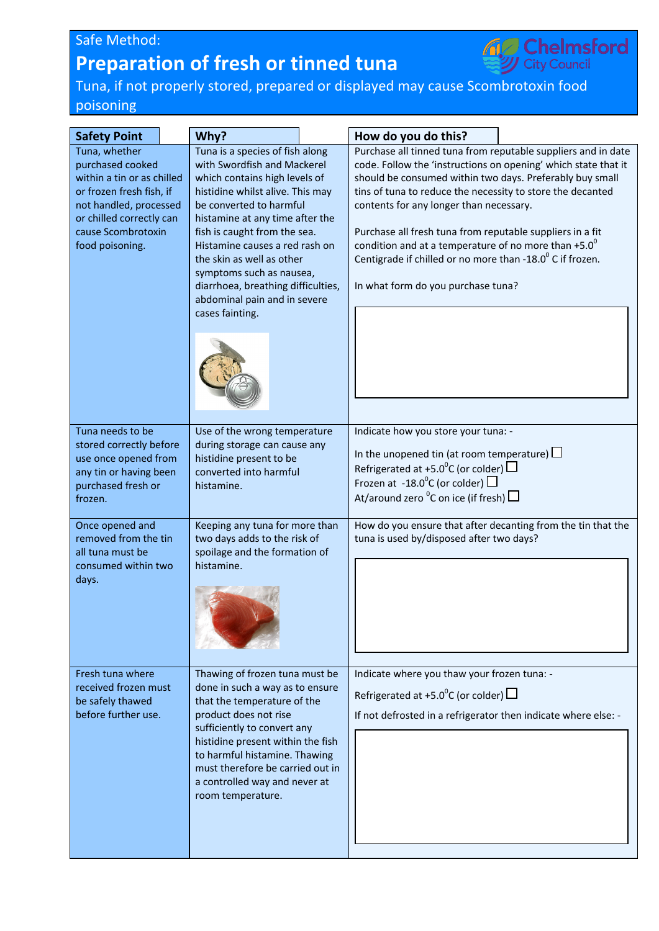## Safe Method: **Preparation of fresh or tinned tuna**



Tuna, if not properly stored, prepared or displayed may cause Scombrotoxin food poisoning

| <b>Safety Point</b>                                                                                                                                                                        | Why?                                                                                                                                                                                                                                                                                                                                                                                                                  | How do you do this?                                                                                                                                                                                                                                                                                                                                                                                                                                                                                                                       |  |
|--------------------------------------------------------------------------------------------------------------------------------------------------------------------------------------------|-----------------------------------------------------------------------------------------------------------------------------------------------------------------------------------------------------------------------------------------------------------------------------------------------------------------------------------------------------------------------------------------------------------------------|-------------------------------------------------------------------------------------------------------------------------------------------------------------------------------------------------------------------------------------------------------------------------------------------------------------------------------------------------------------------------------------------------------------------------------------------------------------------------------------------------------------------------------------------|--|
| Tuna, whether<br>purchased cooked<br>within a tin or as chilled<br>or frozen fresh fish, if<br>not handled, processed<br>or chilled correctly can<br>cause Scombrotoxin<br>food poisoning. | Tuna is a species of fish along<br>with Swordfish and Mackerel<br>which contains high levels of<br>histidine whilst alive. This may<br>be converted to harmful<br>histamine at any time after the<br>fish is caught from the sea.<br>Histamine causes a red rash on<br>the skin as well as other<br>symptoms such as nausea,<br>diarrhoea, breathing difficulties,<br>abdominal pain and in severe<br>cases fainting. | Purchase all tinned tuna from reputable suppliers and in date<br>code. Follow the 'instructions on opening' which state that it<br>should be consumed within two days. Preferably buy small<br>tins of tuna to reduce the necessity to store the decanted<br>contents for any longer than necessary.<br>Purchase all fresh tuna from reputable suppliers in a fit<br>condition and at a temperature of no more than $+5.0^0$<br>Centigrade if chilled or no more than -18.0 $^{\circ}$ C if frozen.<br>In what form do you purchase tuna? |  |
| Tuna needs to be<br>stored correctly before<br>use once opened from<br>any tin or having been<br>purchased fresh or<br>frozen.                                                             | Use of the wrong temperature<br>during storage can cause any<br>histidine present to be<br>converted into harmful<br>histamine.                                                                                                                                                                                                                                                                                       | Indicate how you store your tuna: -<br>In the unopened tin (at room temperature) $\Box$<br>Refrigerated at +5.0 <sup>o</sup> C (or colder) $\Box$<br>Frozen at -18.0 <sup>o</sup> C (or colder) $\Box$<br>At/around zero ${}^{0}C$ on ice (if fresh) $\Box$                                                                                                                                                                                                                                                                               |  |
| Once opened and<br>removed from the tin<br>all tuna must be<br>consumed within two<br>days.                                                                                                | Keeping any tuna for more than<br>two days adds to the risk of<br>spoilage and the formation of<br>histamine.                                                                                                                                                                                                                                                                                                         | How do you ensure that after decanting from the tin that the<br>tuna is used by/disposed after two days?                                                                                                                                                                                                                                                                                                                                                                                                                                  |  |
| Fresh tuna where<br>received frozen must<br>be safely thawed<br>before further use.                                                                                                        | Thawing of frozen tuna must be<br>done in such a way as to ensure<br>that the temperature of the<br>product does not rise<br>sufficiently to convert any<br>histidine present within the fish<br>to harmful histamine. Thawing<br>must therefore be carried out in<br>a controlled way and never at<br>room temperature.                                                                                              | Indicate where you thaw your frozen tuna: -<br>Refrigerated at +5.0 <sup>o</sup> C (or colder) $\Box$<br>If not defrosted in a refrigerator then indicate where else: -                                                                                                                                                                                                                                                                                                                                                                   |  |